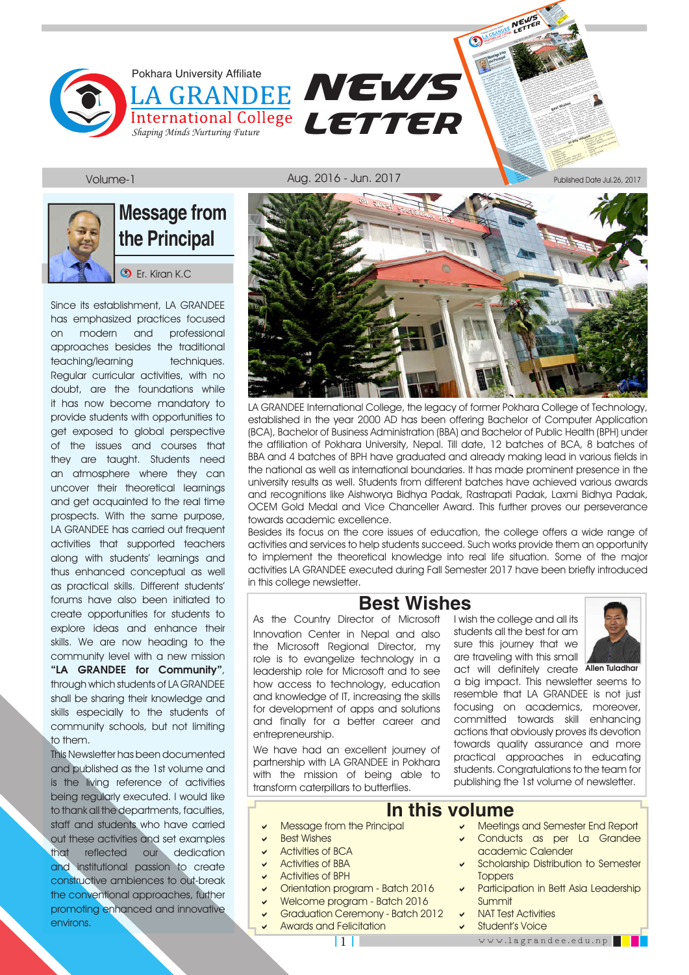



### **Message from the Principal**

**D** Er. Kiran K.C.

Since its establishment, LA GRANDEE has emphasized practices focused on modern and professional approaches besides the traditional teaching/learning techniques. Regular curricular activities, with no doubt, are the foundations while it has now become mandatory to provide students with opportunities to get exposed to global perspective of the issues and courses that they are taught. Students need an atmosphere where they can uncover their theoretical learnings and get acquainted to the real time prospects. With the same purpose, LA GRANDEE has carried out frequent activities that supported teachers along with students' learnings and thus enhanced conceptual as well as practical skills. Different students' forums have also been initiated to create opportunities for students to explore ideas and enhance their skills. We are now heading to the community level with a new mission "LA GRANDEE for Community", through which students of LA GRANDEE shall be sharing their knowledge and skills especially to the students of community schools, but not limiting to them.

This Newsletter has been documented and published as the 1st volume and is the living reference of activities being regularly executed. I would like to thank all the departments, faculties, staff and students who have carried out these activities and set examples that reflected our dedication and institutional passion to create constructive ambiences to out-break the conventional approaches, further promoting enhanced and innovative environs.



**NEWS** NEWER<br>LETTER

**Pokhara University** 

Published Date Jul.26, 2017

LA GRANDEE International College, the legacy of former Pokhara College of Technology, established in the year 2000 AD has been offering Bachelor of Computer Application (BCA), Bachelor of Business Administration (BBA) and Bachelor of Public Health (BPH) under the affiliation of Pokhara University, Nepal. Till date, 12 batches of BCA, 8 batches of BBA and 4 batches of BPH have graduated and already making lead in various fields in the national as well as international boundaries. It has made prominent presence in the university results as well. Students from different batches have achieved various awards and recognitions like Aishworya Bidhya Padak, Rastrapati Padak, Laxmi Bidhya Padak, OCEM Gold Medal and Vice Chanceller Award. This further proves our perseverance towards academic excellence.

Besides its focus on the core issues of education, the college offers a wide range of activities and services to help students succeed. Such works provide them an opportunity to implement the theoretical knowledge into real life situation. Some of the major activities LA GRANDEE executed during Fall Semester 2017 have been briefly introduced in this college newsletter.

#### **Best Wishes**

As the Country Director of Microsoft Innovation Center in Nepal and also the Microsoft Regional Director, my role is to evangelize technology in a leadership role for Microsoft and to see how access to technology, education and knowledge of IT, increasing the skills for development of apps and solutions and finally for a better career and entrepreneurship.

We have had an excellent journey of partnership with LA GRANDEE in Pokhara with the mission of being able to transform caterpillars to butterflies.

I wish the college and all its students all the best for am sure this journey that we are traveling with this small



act will definitely create Allen Tuladhar a big impact. This newsletter seems to resemble that LA GRANDEE is not just focusing on academics, moreover, committed towards skill enhancing actions that obviously proves its devotion towards quality assurance and more practical approaches in educating students. Congratulations to the team for publishing the 1st volume of newsletter.

#### **In this volume**

- Message from the Principal
- Best Wishes
- Activities of BCA
- Activities of BBA
- Activities of BPH
- Orientation program Batch 2016
- **Welcome program Batch 2016**
- Graduation Ceremony Batch 2012
- Awards and Felicitation
- Meetings and Semester End Report Conducts as per La Grandee
- academic Calender Scholarship Distribution to Semester **Toppers**
- Participation in Bett Asia Leadership Summit
- NAT Test Activities
- Student's Voice
	- www.lagrandee.edu.np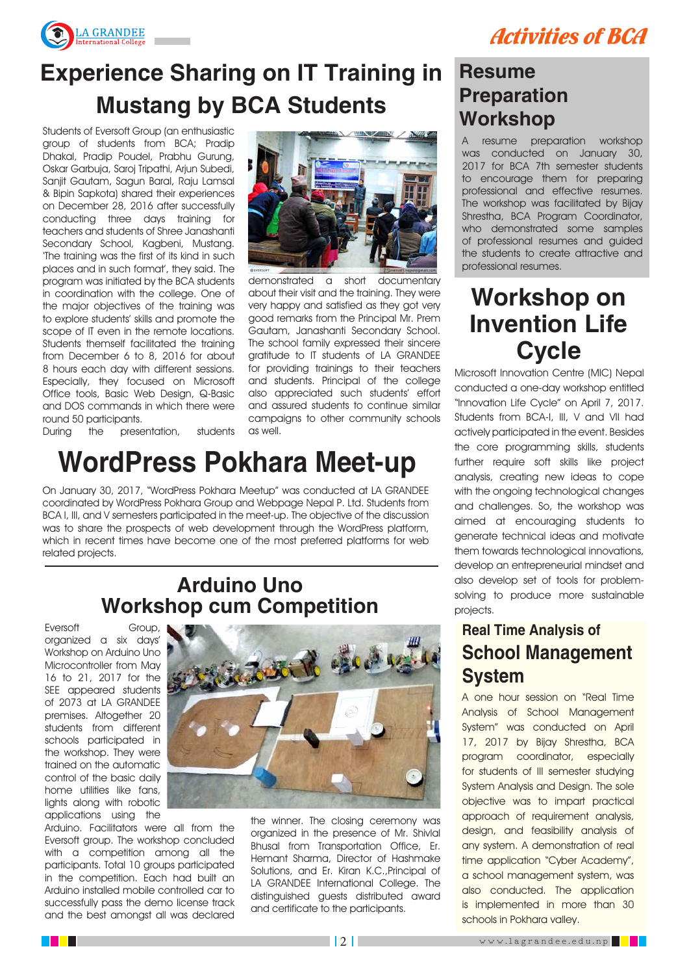



### **Experience Sharing on IT Training in Mustang by BCA Students**

Students of Eversoft Group (an enthusiastic group of students from BCA; Pradip Dhakal, Pradip Poudel, Prabhu Gurung, Oskar Garbuja, Saroj Tripathi, Arjun Subedi, Sanjit Gautam, Sagun Baral, Raju Lamsal & Bipin Sapkota) shared their experiences on December 28, 2016 after successfully conducting three days training for teachers and students of Shree Janashanti Secondary School, Kagbeni, Mustang. 'The training was the first of its kind in such places and in such format', they said. The program was initiated by the BCA students in coordination with the college. One of the major objectives of the training was to explore students' skills and promote the scope of IT even in the remote locations. Students themself facilitated the training from December 6 to 8, 2016 for about 8 hours each day with different sessions. Especially, they focused on Microsoft Office tools, Basic Web Design, Q-Basic and DOS commands in which there were round 50 participants.

During the presentation, students



demonstrated a short documentary about their visit and the training. They were very happy and satisfied as they got very good remarks from the Principal Mr. Prem Gautam, Janashanti Secondary School. The school family expressed their sincere gratitude to IT students of LA GRANDEE for providing trainings to their teachers and students. Principal of the college also appreciated such students' effort and assured students to continue similar campaigns to other community schools as well.

### **WordPress Pokhara Meet-up**

On January 30, 2017, "WordPress Pokhara Meetup" was conducted at LA GRANDEE coordinated by WordPress Pokhara Group and Webpage Nepal P. Ltd. Students from BCA I, III, and V semesters participated in the meet-up. The objective of the discussion was to share the prospects of web development through the WordPress platform, which in recent times have become one of the most preferred platforms for web related projects.

#### **Arduino Uno Workshop cum Competition**

Eversoft Group, organized a six days' Workshop on Arduino Uno Microcontroller from May 16 to 21, 2017 for the SEE appeared students of 2073 at LA GRANDEE premises. Altogether 20 students from different schools participated in the workshop. They were trained on the automatic control of the basic daily home utilities like fans, lights along with robotic applications using the

Arduino. Facilitators were all from the Eversoft group. The workshop concluded with a competition among all the participants. Total 10 groups participated in the competition. Each had built an Arduino installed mobile controlled car to successfully pass the demo license track and the best amongst all was declared



the winner. The closing ceremony was organized in the presence of Mr. Shivlal Bhusal from Transportation Office, Er. Hemant Sharma, Director of Hashmake Solutions, and Er. Kiran K.C.,Principal of LA GRANDEE International College. The distinguished guests distributed award and certificate to the participants.

#### **Resume Preparation Workshop**

A resume preparation workshop was conducted on January 30, 2017 for BCA 7th semester students to encourage them for preparing professional and effective resumes. The workshop was facilitated by Bijay Shrestha, BCA Program Coordinator, who demonstrated some samples of professional resumes and guided the students to create attractive and professional resumes.

### **Workshop on Invention Life Cycle**

Microsoft Innovation Centre (MIC) Nepal conducted a one-day workshop entitled "Innovation Life Cycle" on April 7, 2017. Students from BCA-I, III, V and VII had actively participated in the event. Besides the core programming skills, students further require soft skills like project analysis, creating new ideas to cope with the ongoing technological changes and challenges. So, the workshop was aimed at encouraging students to generate technical ideas and motivate them towards technological innovations, develop an entrepreneurial mindset and also develop set of tools for problemsolving to produce more sustainable projects.

#### **Real Time Analysis of School Management System**

A one hour session on "Real Time Analysis of School Management System" was conducted on April 17, 2017 by Bijay Shrestha, BCA program coordinator, especially for students of III semester studying System Analysis and Design. The sole objective was to impart practical approach of requirement analysis, design, and feasibility analysis of any system. A demonstration of real time application "Cyber Academy", a school management system, was also conducted. The application is implemented in more than 30 schools in Pokhara valley.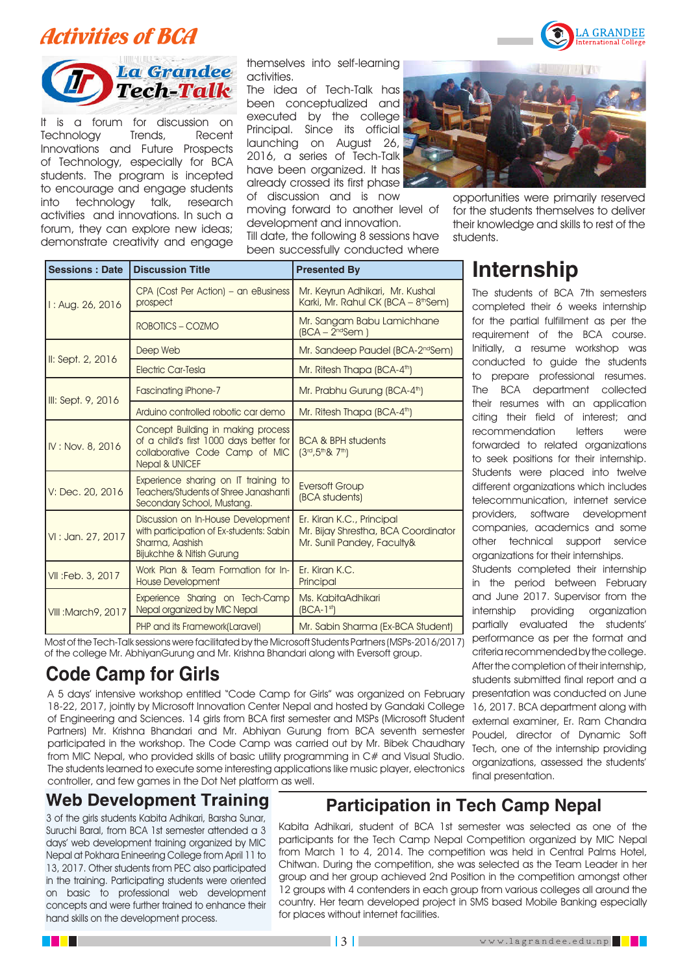### Activities of BCA



It is a forum for discussion on Technology Trends, Recent Innovations and Future Prospects of Technology, especially for BCA students. The program is incepted to encourage and engage students into technology talk, research activities and innovations. In such a forum, they can explore new ideas; demonstrate creativity and engage

themselves into self-learning activities.

The idea of Tech-Talk has been conceptualized and executed by the college Principal. Since its official launching on August 26, 2016, a series of Tech-Talk have been organized. It has already crossed its first phase

of discussion and is now moving forward to another level of development and innovation. Till date, the following 8 sessions have been successfully conducted where



opportunities were primarily reserved for the students themselves to deliver their knowledge and skills to rest of the students.

| <b>Sessions: Date</b>      | <b>Discussion Title</b>                                                                                                                      | <b>Presented By</b>                                                                            |  |
|----------------------------|----------------------------------------------------------------------------------------------------------------------------------------------|------------------------------------------------------------------------------------------------|--|
| 1: Aug. 26, 2016           | CPA (Cost Per Action) - an eBusiness<br>prospect                                                                                             | Mr. Keyrun Adhikari, Mr. Kushal<br>Karki, Mr. Rahul CK (BCA - 8 <sup>th</sup> Sem)             |  |
|                            | ROBOTICS - COZMO                                                                                                                             | Mr. Sangam Babu Lamichhane<br>$(BCA - 2ndSem)$                                                 |  |
| II: Sept. 2, 2016          | Deep Web                                                                                                                                     | Mr. Sandeep Paudel (BCA-2 <sup>nd</sup> Sem)                                                   |  |
|                            | Electric Car-Tesla                                                                                                                           | Mr. Ritesh Thapa (BCA-4 <sup>th</sup> )                                                        |  |
| III: Sept. 9, 2016         | <b>Fascinating iPhone-7</b>                                                                                                                  | Mr. Prabhu Gurung (BCA-4 <sup>th</sup> )                                                       |  |
|                            | Arduino controlled robotic car demo                                                                                                          | Mr. Ritesh Thapa (BCA-4 <sup>th</sup> )                                                        |  |
| IV: Nov. 8, 2016           | Concept Building in making process<br>of a child's first 1000 days better for<br>collaborative Code Camp of MIC<br><b>Nepal &amp; UNICEF</b> | <b>BCA &amp; BPH students</b><br>$(3^{rd}, 5^{th}8, 7^{th})$                                   |  |
| V: Dec. 20, 2016           | Experience sharing on IT training to<br>Teachers/Students of Shree Janashanti<br>Secondary School, Mustang.                                  | <b>Eversoft Group</b><br>(BCA students)                                                        |  |
| VI: Jan. 27, 2017          | Discussion on In-House Development<br>with participation of Ex-students: Sabin<br>Sharma, Aashish<br><b>Bijukchhe &amp; Nitish Gurung</b>    | Er. Kiran K.C., Principal<br>Mr. Bijay Shrestha, BCA Coordinator<br>Mr. Sunil Pandey, Faculty& |  |
| VII : Feb. 3, 2017         | Work Plan & Team Formation for In-<br><b>House Development</b>                                                                               | Fr. Kiran K.C.<br>Principal                                                                    |  |
| <b>VIII: March 9, 2017</b> | Experience Sharing on Tech-Camp<br>Nepal organized by MIC Nepal                                                                              | Ms. KabitaAdhikari<br>$(BCA-1st)$                                                              |  |
|                            | PHP and its Framework(Laravel)                                                                                                               | Mr. Sabin Sharma (Ex-BCA Student)                                                              |  |

Most of the Tech-Talk sessions were facilitated by the Microsoft Students Partners (MSPs-2016/2017) of the college Mr. AbhiyanGurung and Mr. Krishna Bhandari along with Eversoft group.

#### **Code Camp for Girls**

A 5 days' intensive workshop entitled "Code Camp for Girls" was organized on February 18-22, 2017, jointly by Microsoft Innovation Center Nepal and hosted by Gandaki College of Engineering and Sciences. 14 girls from BCA first semester and MSPs (Microsoft Student Partners) Mr. Krishna Bhandari and Mr. Abhiyan Gurung from BCA seventh semester participated in the workshop. The Code Camp was carried out by Mr. Bibek Chaudhary from MIC Nepal, who provided skills of basic utility programming in C# and Visual Studio. The students learned to execute some interesting applications like music player, electronics controller, and few games in the Dot Net platform as well.

# **Internship**

The students of BCA 7th semesters completed their 6 weeks internship for the partial fulfillment as per the requirement of the BCA course. Initially, a resume workshop was conducted to guide the students to prepare professional resumes. The BCA department collected their resumes with an application citing their field of interest; and recommendation letters were forwarded to related organizations to seek positions for their internship. Students were placed into twelve different organizations which includes telecommunication, internet service providers, software development companies, academics and some other technical support service organizations for their internships.

Students completed their internship in the period between February and June 2017. Supervisor from the internship providing organization partially evaluated the students' performance as per the format and criteria recommended by the college. After the completion of their internship, students submitted final report and a presentation was conducted on June 16, 2017. BCA department along with external examiner, Er. Ram Chandra Poudel, director of Dynamic Soft Tech, one of the internship providing organizations, assessed the students' final presentation.

#### **Web Development Training**

3 of the girls students Kabita Adhikari, Barsha Sunar, Suruchi Baral, from BCA 1st semester attended a 3 days' web development training organized by MIC Nepal at Pokhara Enineering College from April 11 to 13, 2017. Other students from PEC also participated in the training. Participating students were oriented on basic to professional web development concepts and were further trained to enhance their hand skills on the development process.

#### **Participation in Tech Camp Nepal**

Kabita Adhikari, student of BCA 1st semester was selected as one of the participants for the Tech Camp Nepal Competition organized by MIC Nepal from March 1 to 4, 2014. The competition was held in Central Palms Hotel, Chitwan. During the competition, she was selected as the Team Leader in her group and her group achieved 2nd Position in the competition amongst other 12 groups with 4 contenders in each group from various colleges all around the country. Her team developed project in SMS based Mobile Banking especially for places without internet facilities.

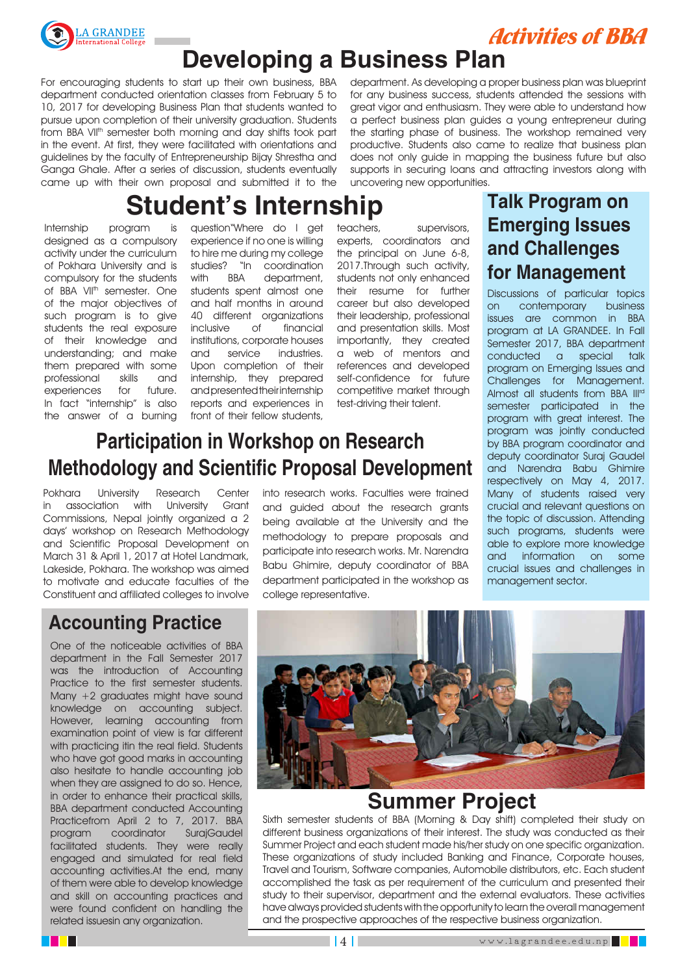

Activities of BBA

### **Developing a Business Plan**

For encouraging students to start up their own business, BBA department conducted orientation classes from February 5 to 10, 2017 for developing Business Plan that students wanted to pursue upon completion of their university graduation. Students from BBA VII<sup>th</sup> semester both morning and day shifts took part in the event. At first, they were facilitated with orientations and guidelines by the faculty of Entrepreneurship Bijay Shrestha and Ganga Ghale. After a series of discussion, students eventually came up with their own proposal and submitted it to the

department. As developing a proper business plan was blueprint for any business success, students attended the sessions with great vigor and enthusiasm. They were able to understand how a perfect business plan guides a young entrepreneur during the starting phase of business. The workshop remained very productive. Students also came to realize that business plan does not only guide in mapping the business future but also supports in securing loans and attracting investors along with uncovering new opportunities.

## **Student's Internship**

Internship program is designed as a compulsory activity under the curriculum of Pokhara University and is compulsory for the students of BBA VII<sup>th</sup> semester. One of the major objectives of such program is to give students the real exposure of their knowledge and understanding; and make them prepared with some<br>professional skills and professional skills and experiences for future. In fact "internship" is also the answer of a burning

question"Where do I get experience if no one is willing to hire me during my college studies? "In coordination with BBA department, students spent almost one and half months in around 40 different organizations inclusive of financial institutions, corporate houses and service industries. Upon completion of their internship, they prepared and presented their internship reports and experiences in front of their fellow students,

teachers, supervisors, experts, coordinators and the principal on June 6-8, 2017.Through such activity, students not only enhanced their resume for further career but also developed their leadership, professional and presentation skills. Most importantly, they created a web of mentors and references and developed self-confidence for future competitive market through test-driving their talent.

### **Participation in Workshop on Research Methodology and Scientific Proposal Development**

Pokhara University Research Center in association with University Grant Commissions, Nepal jointly organized a 2 days' workshop on Research Methodology and Scientific Proposal Development on March 31 & April 1, 2017 at Hotel Landmark, Lakeside, Pokhara. The workshop was aimed to motivate and educate faculties of the Constituent and affiliated colleges to involve

#### **Accounting Practice**

One of the noticeable activities of BBA department in the Fall Semester 2017 was the introduction of Accounting Practice to the first semester students. Many +2 graduates might have sound knowledge on accounting subject. However, learning accounting from examination point of view is far different with practicing itin the real field. Students who have got good marks in accounting also hesitate to handle accounting job when they are assigned to do so. Hence, in order to enhance their practical skills, BBA department conducted Accounting Practicefrom April 2 to 7, 2017. BBA program coordinator SurajGaudel facilitated students. They were really engaged and simulated for real field accounting activities.At the end, many of them were able to develop knowledge and skill on accounting practices and were found confident on handling the related issuesin any organization.

into research works. Faculties were trained and guided about the research grants being available at the University and the methodology to prepare proposals and participate into research works. Mr. Narendra Babu Ghimire, deputy coordinator of BBA department participated in the workshop as college representative.

#### **Talk Program on Emerging Issues and Challenges for Management**

Discussions of particular topics on contemporary business issues are common in BBA program at LA GRANDEE. In Fall Semester 2017, BBA department conducted a special talk program on Emerging Issues and Challenges for Management. Almost all students from BBA III<sup>rd</sup> semester participated in the program with great interest. The program was jointly conducted by BBA program coordinator and deputy coordinator Suraj Gaudel and Narendra Babu Ghimire respectively on May 4, 2017. Many of students raised very crucial and relevant questions on the topic of discussion. Attending such programs, students were able to explore more knowledge and information on some crucial issues and challenges in management sector.



#### **Summer Project**

Sixth semester students of BBA (Morning & Day shift) completed their study on different business organizations of their interest. The study was conducted as their Summer Project and each student made his/her study on one specific organization. These organizations of study included Banking and Finance, Corporate houses, Travel and Tourism, Software companies, Automobile distributors, etc. Each student accomplished the task as per requirement of the curriculum and presented their study to their supervisor, department and the external evaluators. These activities have always provided students with the opportunity to learn the overall management and the prospective approaches of the respective business organization.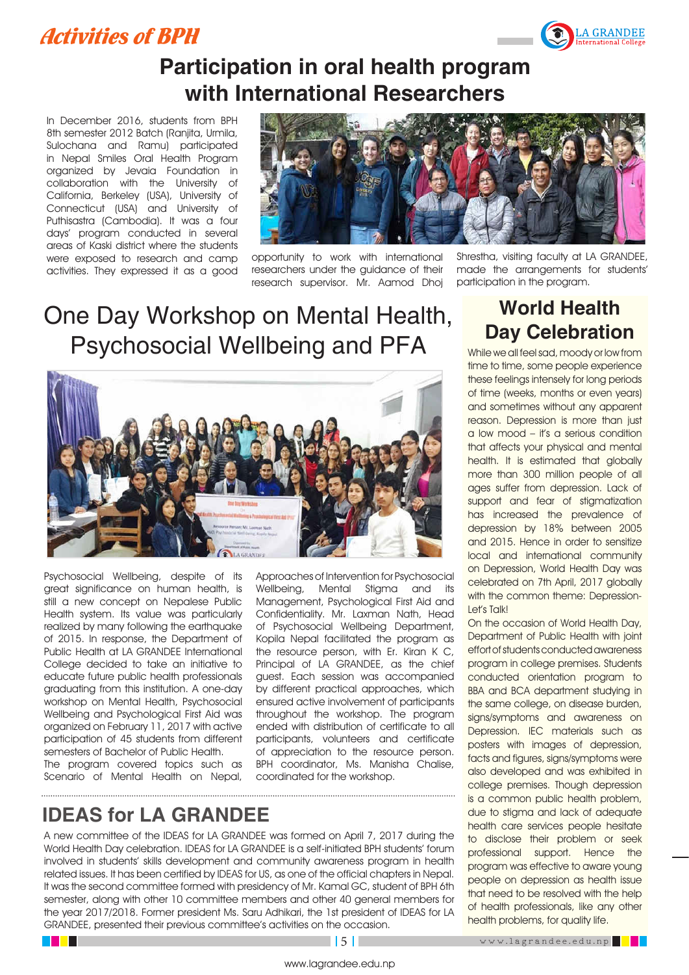#### Activities of BPH



### **Participation in oral health program with International Researchers**

In December 2016, students from BPH 8th semester 2012 Batch (Ranjita, Urmila, Sulochana and Ramu) participated in Nepal Smiles Oral Health Program organized by Jevaia Foundation in collaboration with the University of California, Berkeley (USA), University of Connecticut (USA) and University of Puthisastra (Cambodia). It was a four days' program conducted in several areas of Kaski district where the students were exposed to research and camp activities. They expressed it as a good



opportunity to work with international researchers under the guidance of their research supervisor. Mr. Aamod Dhoj Shrestha, visiting faculty at LA GRANDEE, made the arrangements for students' participation in the program.

### One Day Workshop on Mental Health, Psychosocial Wellbeing and PFA



Psychosocial Wellbeing, despite of its great significance on human health, is still a new concept on Nepalese Public Health system. Its value was particularly realized by many following the earthquake of 2015. In response, the Department of Public Health at LA GRANDEE International College decided to take an initiative to educate future public health professionals graduating from this institution. A one-day workshop on Mental Health, Psychosocial Wellbeing and Psychological First Aid was organized on February 11, 2017 with active participation of 45 students from different semesters of Bachelor of Public Health.

The program covered topics such as Scenario of Mental Health on Nepal, 

Approaches of Intervention for Psychosocial Wellbeing, Mental Stigma and its Management, Psychological First Aid and Confidentiality. Mr. Laxman Nath, Head of Psychosocial Wellbeing Department, Kopila Nepal facilitated the program as the resource person, with Er. Kiran K C, Principal of LA GRANDEE, as the chief guest. Each session was accompanied by different practical approaches, which ensured active involvement of participants throughout the workshop. The program ended with distribution of certificate to all participants, volunteers and certificate of appreciation to the resource person. BPH coordinator, Ms. Manisha Chalise, coordinated for the workshop.

#### **IDEAS for LA GRANDEE**

A new committee of the IDEAS for LA GRANDEE was formed on April 7, 2017 during the World Health Day celebration. IDEAS for LA GRANDEE is a self-initiated BPH students' forum involved in students' skills development and community awareness program in health related issues. It has been certified by IDEAS for US, as one of the official chapters in Nepal. It was the second committee formed with presidency of Mr. Kamal GC, student of BPH 6th semester, along with other 10 committee members and other 40 general members for the year 2017/2018. Former president Ms. Saru Adhikari, the 1st president of IDEAS for LA GRANDEE, presented their previous committee's activities on the occasion.

#### **World Health Day Celebration**

While we all feel sad, moody or low from time to time, some people experience these feelings intensely for long periods of time (weeks, months or even years) and sometimes without any apparent reason. Depression is more than just a low mood – it's a serious condition that affects your physical and mental health. It is estimated that globally more than 300 million people of all ages suffer from depression. Lack of support and fear of stigmatization has increased the prevalence of depression by 18% between 2005 and 2015. Hence in order to sensitize local and international community on Depression, World Health Day was celebrated on 7th April, 2017 globally with the common theme: Depression-Let's Talk!

On the occasion of World Health Day, Department of Public Health with joint effort of students conducted awareness program in college premises. Students conducted orientation program to BBA and BCA department studying in the same college, on disease burden, signs/symptoms and awareness on Depression. IEC materials such as posters with images of depression, facts and figures, signs/symptoms were also developed and was exhibited in college premises. Though depression is a common public health problem, due to stigma and lack of adequate health care services people hesitate to disclose their problem or seek professional support. Hence the program was effective to aware young people on depression as health issue that need to be resolved with the help of health professionals, like any other health problems, for quality life.

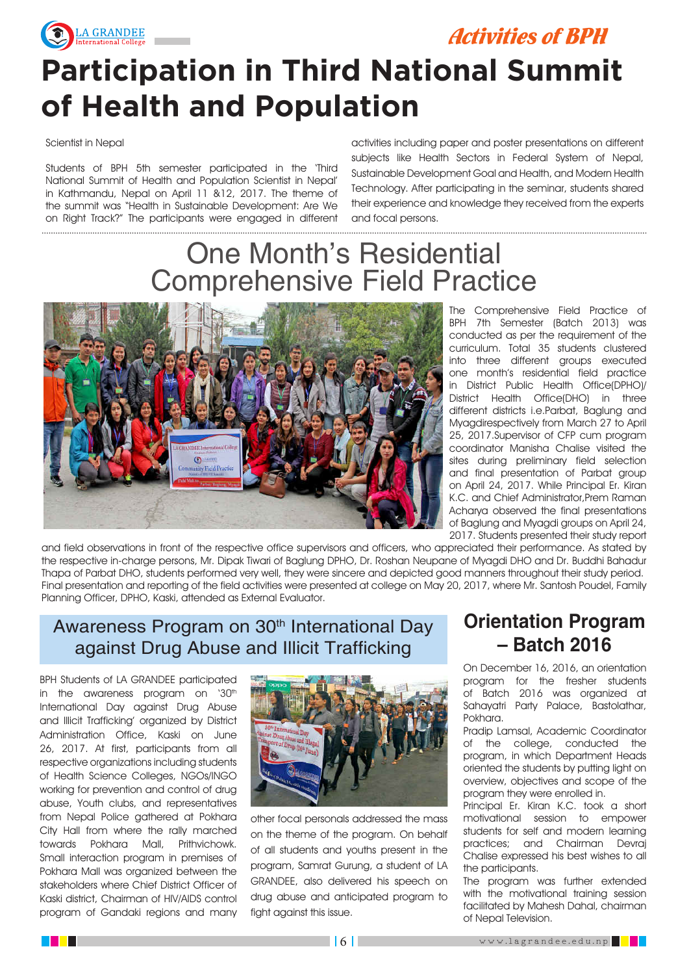

Activities of BPH

# **Participation in Third National Summit of Health and Population**

#### Scientist in Nepal

Students of BPH 5th semester participated in the 'Third National Summit of Health and Population Scientist in Nepal' in Kathmandu, Nepal on April 11 &12, 2017. The theme of the summit was "Health in Sustainable Development: Are We on Right Track?" The participants were engaged in different

activities including paper and poster presentations on different subjects like Health Sectors in Federal System of Nepal, Sustainable Development Goal and Health, and Modern Health Technology. After participating in the seminar, students shared their experience and knowledge they received from the experts and focal persons.

### One Month's Residential Comprehensive Field Practice



The Comprehensive Field Practice of BPH 7th Semester (Batch 2013) was conducted as per the requirement of the curriculum. Total 35 students clustered into three different groups executed one month's residential field practice in District Public Health Office(DPHO)/ District Health Office(DHO) in three different districts i.e.Parbat, Baglung and Myagdirespectively from March 27 to April 25, 2017.Supervisor of CFP cum program coordinator Manisha Chalise visited the sites during preliminary field selection and final presentation of Parbat group on April 24, 2017. While Principal Er. Kiran K.C. and Chief Administrator,Prem Raman Acharya observed the final presentations of Baglung and Myagdi groups on April 24, 2017. Students presented their study report

and field observations in front of the respective office supervisors and officers, who appreciated their performance. As stated by the respective in-charge persons, Mr. Dipak Tiwari of Baglung DPHO, Dr. Roshan Neupane of Myagdi DHO and Dr. Buddhi Bahadur Thapa of Parbat DHO, students performed very well, they were sincere and depicted good manners throughout their study period. Final presentation and reporting of the field activities were presented at college on May 20, 2017, where Mr. Santosh Poudel, Family Planning Officer, DPHO, Kaski, attended as External Evaluator.

#### Awareness Program on 30<sup>th</sup> International Day against Drug Abuse and Illicit Trafficking

BPH Students of LA GRANDEE participated in the awareness program on '30<sup>th</sup> International Day against Drug Abuse and Illicit Trafficking' organized by District Administration Office, Kaski on June 26, 2017. At first, participants from all respective organizations including students of Health Science Colleges, NGOs/INGO working for prevention and control of drug abuse, Youth clubs, and representatives from Nepal Police gathered at Pokhara City Hall from where the rally marched towards Pokhara Mall, Prithvichowk. Small interaction program in premises of Pokhara Mall was organized between the stakeholders where Chief District Officer of Kaski district, Chairman of HIV/AIDS control program of Gandaki regions and many



other focal personals addressed the mass on the theme of the program. On behalf of all students and youths present in the program, Samrat Gurung, a student of LA GRANDEE, also delivered his speech on drug abuse and anticipated program to fight against this issue.

#### **Orientation Program – Batch 2016**

On December 16, 2016, an orientation program for the fresher students of Batch 2016 was organized at Sahayatri Party Palace, Bastolathar, Pokhara.

Pradip Lamsal, Academic Coordinator of the college, conducted the program, in which Department Heads oriented the students by putting light on overview, objectives and scope of the program they were enrolled in.

Principal Er. Kiran K.C. took a short motivational session to empower students for self and modern learning practices; and Chairman Devraj Chalise expressed his best wishes to all the participants.

The program was further extended with the motivational training session facilitated by Mahesh Dahal, chairman of Nepal Television.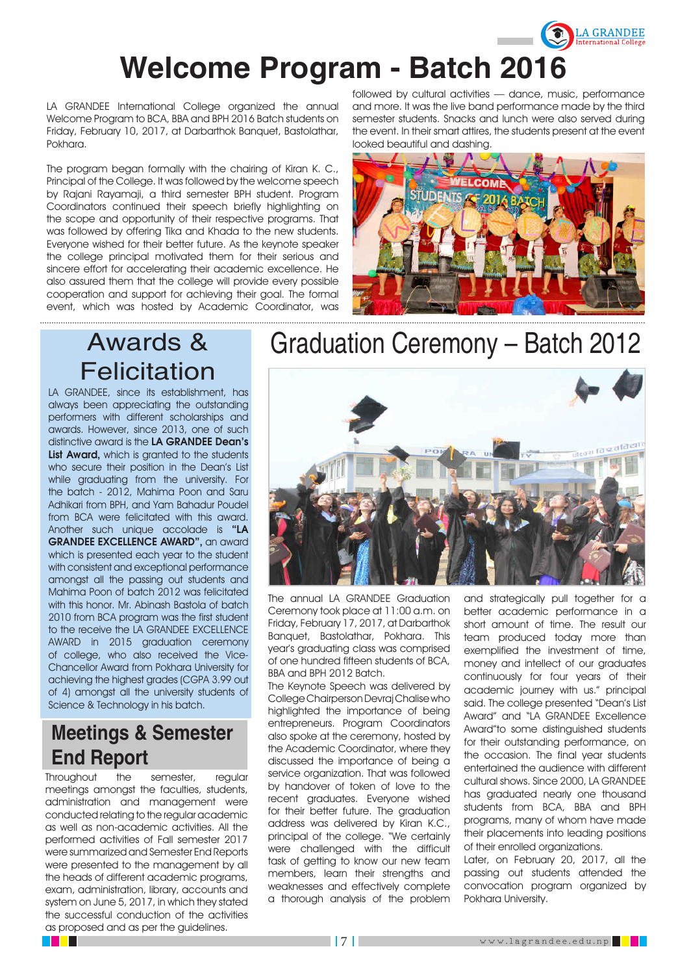

# **Welcome Program - Batch 2016**

LA GRANDEE International College organized the annual Welcome Program to BCA, BBA and BPH 2016 Batch students on Friday, February 10, 2017, at Darbarthok Banquet, Bastolathar, Pokhara.

The program began formally with the chairing of Kiran K. C., Principal of the College. It was followed by the welcome speech by Rajani Rayamaji, a third semester BPH student. Program Coordinators continued their speech briefly highlighting on the scope and opportunity of their respective programs. That was followed by offering Tika and Khada to the new students. Everyone wished for their better future. As the keynote speaker the college principal motivated them for their serious and sincere effort for accelerating their academic excellence. He also assured them that the college will provide every possible cooperation and support for achieving their goal. The formal event, which was hosted by Academic Coordinator, was

followed by cultural activities — dance, music, performance and more. It was the live band performance made by the third semester students. Snacks and lunch were also served during the event. In their smart attires, the students present at the event looked beautiful and dashing.



### Awards & **Felicitation**

LA GRANDEE, since its establishment, has always been appreciating the outstanding performers with different scholarships and awards. However, since 2013, one of such distinctive award is the LA GRANDEE Dean's List Award, which is granted to the students who secure their position in the Dean's List while graduating from the university. For the batch - 2012, Mahima Poon and Saru Adhikari from BPH, and Yam Bahadur Poudel from BCA were felicitated with this award. Another such unique accolade is "LA GRANDEE EXCELLENCE AWARD", an award which is presented each year to the student with consistent and exceptional performance amongst all the passing out students and Mahima Poon of batch 2012 was felicitated with this honor. Mr. Abinash Bastola of batch 2010 from BCA program was the first student to the receive the LA GRANDEE EXCELLENCE AWARD in 2015 graduation ceremony of college, who also received the Vice-Chancellor Award from Pokhara University for achieving the highest grades (CGPA 3.99 out of 4) amongst all the university students of Science & Technology in his batch.

#### **Meetings & Semester End Report**

Throughout the semester, regular meetings amongst the faculties, students, administration and management were conducted relating to the regular academic as well as non-academic activities. All the performed activities of Fall semester 2017 were summarized and Semester End Reports were presented to the management by all the heads of different academic programs, exam, administration, library, accounts and system on June 5, 2017, in which they stated the successful conduction of the activities as proposed and as per the guidelines.

## Graduation Ceremony – Batch 2012



The annual LA GRANDEE Graduation Ceremony took place at 11:00 a.m. on Friday, February 17, 2017, at Darbarthok Banquet, Bastolathar, Pokhara. This year's graduating class was comprised of one hundred fifteen students of BCA, BBA and BPH 2012 Batch.

The Keynote Speech was delivered by College Chairperson Devraj Chalise who highlighted the importance of being entrepreneurs. Program Coordinators also spoke at the ceremony, hosted by the Academic Coordinator, where they discussed the importance of being a service organization. That was followed by handover of token of love to the recent graduates. Everyone wished for their better future. The graduation address was delivered by Kiran K.C., principal of the college. "We certainly were challenged with the difficult task of getting to know our new team members, learn their strengths and weaknesses and effectively complete a thorough analysis of the problem and strategically pull together for a better academic performance in a short amount of time. The result our team produced today more than exemplified the investment of time, money and intellect of our graduates continuously for four years of their academic journey with us." principal said. The college presented "Dean's List Award" and "LA GRANDEE Excellence Award"to some distinguished students for their outstanding performance, on the occasion. The final year students entertained the audience with different cultural shows. Since 2000, LA GRANDEE has graduated nearly one thousand students from BCA, BBA and BPH programs, many of whom have made their placements into leading positions of their enrolled organizations.

Later, on February 20, 2017, all the passing out students attended the convocation program organized by Pokhara University.